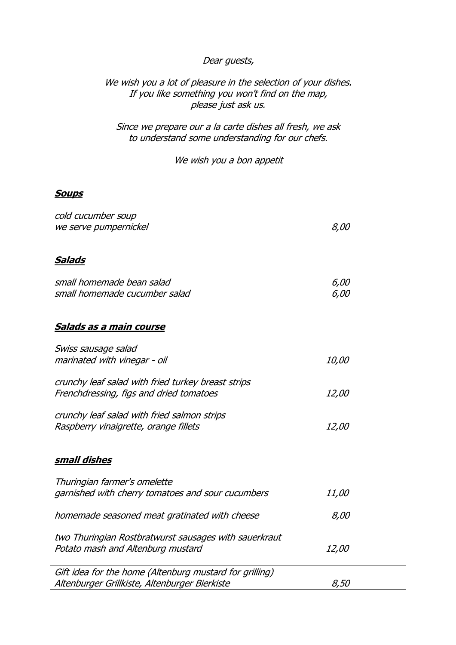## Dear guests,

## We wish you a lot of pleasure in the selection of your dishes. If you like something you won't find on the map, please just ask us.

Since we prepare our a la carte dishes all fresh, we ask to understand some understanding for our chefs.

We wish you a bon appetit

### **Soups**

| cold cucumber soup<br>we serve pumpernickel                                                              | 8,00         |  |
|----------------------------------------------------------------------------------------------------------|--------------|--|
| <u>Salads</u>                                                                                            |              |  |
| small homemade bean salad<br>small homemade cucumber salad                                               | 6,00<br>6,00 |  |
| Salads as a main course                                                                                  |              |  |
| Swiss sausage salad<br>marinated with vinegar - oil                                                      | <i>10,00</i> |  |
| crunchy leaf salad with fried turkey breast strips<br>Frenchdressing, figs and dried tomatoes            | <i>12,00</i> |  |
| crunchy leaf salad with fried salmon strips<br>Raspberry vinaigrette, orange fillets                     | <i>12,00</i> |  |
| <u>small dishes</u>                                                                                      |              |  |
| Thuringian farmer's omelette<br>garnished with cherry tomatoes and sour cucumbers                        | <i>11,00</i> |  |
| homemade seasoned meat gratinated with cheese                                                            | 8,00         |  |
| two Thuringian Rostbratwurst sausages with sauerkraut<br>Potato mash and Altenburg mustard               | <i>12,00</i> |  |
| Gift idea for the home (Altenburg mustard for grilling)<br>Altenburger Grillkiste, Altenburger Bierkiste | 8,50         |  |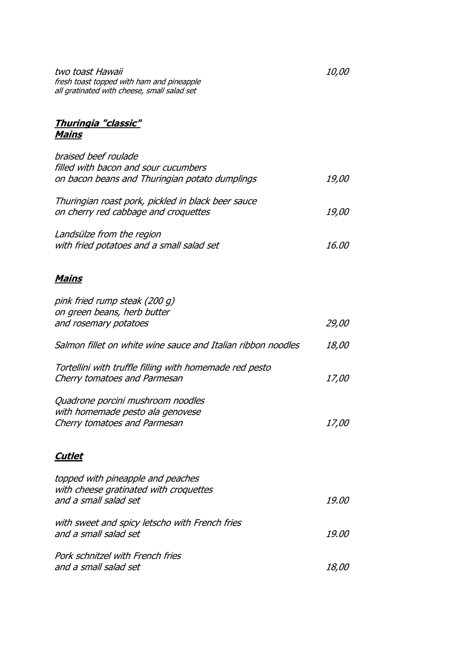two toast Hawaii 10,00 fresh toast topped with ham and pineapple all gratinated with cheese, small salad set

# **Thuringia "classic" Mains**

| braised beef roulade                                         |              |
|--------------------------------------------------------------|--------------|
| filled with bacon and sour cucumbers                         |              |
| on bacon beans and Thuringian potato dumplings               | <i>19,00</i> |
| Thuringian roast pork, pickled in black beer sauce           |              |
| on cherry red cabbage and croquettes                         | <i>19,00</i> |
| Landsülze from the region                                    |              |
| with fried potatoes and a small salad set                    | 16.00        |
| <u>Mains</u>                                                 |              |
| pink fried rump steak (200 g)                                |              |
| on green beans, herb butter                                  |              |
| and rosemary potatoes                                        | <i>29,00</i> |
| Salmon fillet on white wine sauce and Italian ribbon noodles | <i>18,00</i> |
| Tortellini with truffle filling with homemade red pesto      |              |
| Cherry tomatoes and Parmesan                                 | <i>17,00</i> |
| Quadrone porcini mushroom noodles                            |              |
| with homemade pesto ala genovese                             |              |
| Cherry tomatoes and Parmesan                                 | <i>17,00</i> |
| <u>Cutlet</u>                                                |              |
| topped with pineapple and peaches                            |              |
| with cheese gratinated with croquettes                       |              |
| and a small salad set                                        | 19.00        |
| with sweet and spicy letscho with French fries               |              |
| and a small salad set                                        | <i>19.00</i> |
| Pork schnitzel with French fries                             |              |
| and a small salad set                                        | <i>18,00</i> |